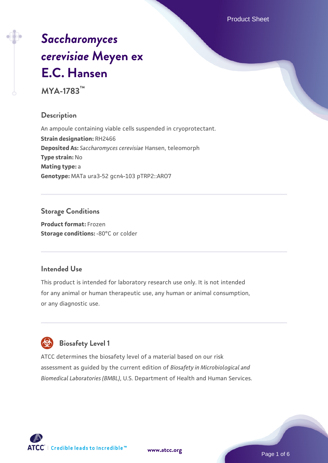Product Sheet

# *[Saccharomyces](https://www.atcc.org/products/mya-1783) [cerevisiae](https://www.atcc.org/products/mya-1783)* **[Meyen ex](https://www.atcc.org/products/mya-1783) [E.C. Hansen](https://www.atcc.org/products/mya-1783)**

**MYA-1783™**

#### **Description**

An ampoule containing viable cells suspended in cryoprotectant. **Strain designation:** RH2466 **Deposited As:** *Saccharomyces cerevisiae* Hansen, teleomorph **Type strain:** No **Mating type:** a **Genotype:** MATa ura3-52 gcn4-103 pTRP2::ARO7

# **Storage Conditions**

**Product format:** Frozen **Storage conditions: -80°C or colder** 

#### **Intended Use**

This product is intended for laboratory research use only. It is not intended for any animal or human therapeutic use, any human or animal consumption, or any diagnostic use.

# **Biosafety Level 1**

ATCC determines the biosafety level of a material based on our risk assessment as guided by the current edition of *Biosafety in Microbiological and Biomedical Laboratories (BMBL)*, U.S. Department of Health and Human Services.

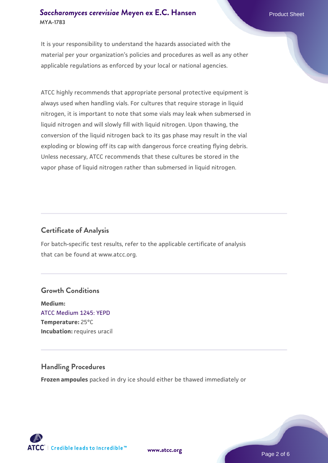#### **[Saccharomyces cerevisiae](https://www.atcc.org/products/mya-1783)** [Meyen ex E.C. Hansen](https://www.atcc.org/products/mya-1783) **MYA-1783**

It is your responsibility to understand the hazards associated with the material per your organization's policies and procedures as well as any other applicable regulations as enforced by your local or national agencies.

ATCC highly recommends that appropriate personal protective equipment is always used when handling vials. For cultures that require storage in liquid nitrogen, it is important to note that some vials may leak when submersed in liquid nitrogen and will slowly fill with liquid nitrogen. Upon thawing, the conversion of the liquid nitrogen back to its gas phase may result in the vial exploding or blowing off its cap with dangerous force creating flying debris. Unless necessary, ATCC recommends that these cultures be stored in the vapor phase of liquid nitrogen rather than submersed in liquid nitrogen.

#### **Certificate of Analysis**

For batch-specific test results, refer to the applicable certificate of analysis that can be found at www.atcc.org.

#### **Growth Conditions**

**Medium:**  [ATCC Medium 1245: YEPD](https://www.atcc.org/-/media/product-assets/documents/microbial-media-formulations/1/2/4/5/atcc-medium-1245.pdf?rev=705ca55d1b6f490a808a965d5c072196) **Temperature:** 25°C **Incubation:** requires uracil

#### **Handling Procedures**

**Frozen ampoules** packed in dry ice should either be thawed immediately or

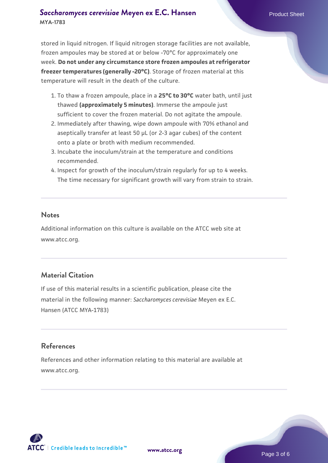#### **[Saccharomyces cerevisiae](https://www.atcc.org/products/mya-1783)** [Meyen ex E.C. Hansen](https://www.atcc.org/products/mya-1783) **MYA-1783**

stored in liquid nitrogen. If liquid nitrogen storage facilities are not available, frozen ampoules may be stored at or below -70°C for approximately one week. **Do not under any circumstance store frozen ampoules at refrigerator freezer temperatures (generally -20°C)**. Storage of frozen material at this temperature will result in the death of the culture.

- 1. To thaw a frozen ampoule, place in a **25°C to 30°C** water bath, until just thawed **(approximately 5 minutes)**. Immerse the ampoule just sufficient to cover the frozen material. Do not agitate the ampoule.
- 2. Immediately after thawing, wipe down ampoule with 70% ethanol and aseptically transfer at least 50 µL (or 2-3 agar cubes) of the content onto a plate or broth with medium recommended.
- 3. Incubate the inoculum/strain at the temperature and conditions recommended.
- 4. Inspect for growth of the inoculum/strain regularly for up to 4 weeks. The time necessary for significant growth will vary from strain to strain.

#### **Notes**

Additional information on this culture is available on the ATCC web site at www.atcc.org.

## **Material Citation**

If use of this material results in a scientific publication, please cite the material in the following manner: *Saccharomyces cerevisiae* Meyen ex E.C. Hansen (ATCC MYA-1783)

## **References**

References and other information relating to this material are available at www.atcc.org.

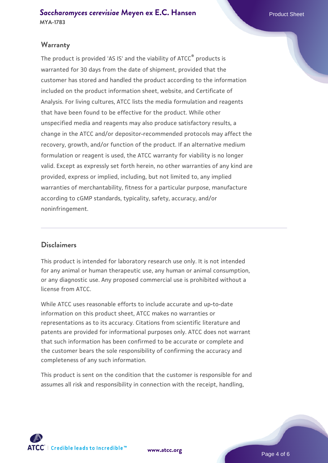#### **Warranty**

The product is provided 'AS IS' and the viability of ATCC® products is warranted for 30 days from the date of shipment, provided that the customer has stored and handled the product according to the information included on the product information sheet, website, and Certificate of Analysis. For living cultures, ATCC lists the media formulation and reagents that have been found to be effective for the product. While other unspecified media and reagents may also produce satisfactory results, a change in the ATCC and/or depositor-recommended protocols may affect the recovery, growth, and/or function of the product. If an alternative medium formulation or reagent is used, the ATCC warranty for viability is no longer valid. Except as expressly set forth herein, no other warranties of any kind are provided, express or implied, including, but not limited to, any implied warranties of merchantability, fitness for a particular purpose, manufacture according to cGMP standards, typicality, safety, accuracy, and/or noninfringement.

#### **Disclaimers**

This product is intended for laboratory research use only. It is not intended for any animal or human therapeutic use, any human or animal consumption, or any diagnostic use. Any proposed commercial use is prohibited without a license from ATCC.

While ATCC uses reasonable efforts to include accurate and up-to-date information on this product sheet, ATCC makes no warranties or representations as to its accuracy. Citations from scientific literature and patents are provided for informational purposes only. ATCC does not warrant that such information has been confirmed to be accurate or complete and the customer bears the sole responsibility of confirming the accuracy and completeness of any such information.

This product is sent on the condition that the customer is responsible for and assumes all risk and responsibility in connection with the receipt, handling,



**[www.atcc.org](http://www.atcc.org)**

Page 4 of 6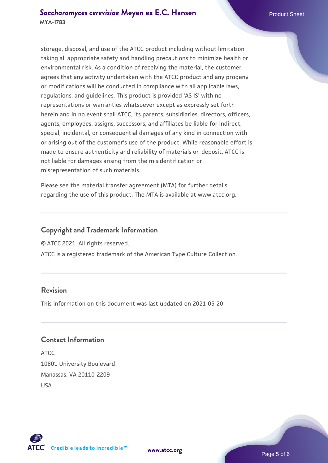storage, disposal, and use of the ATCC product including without limitation taking all appropriate safety and handling precautions to minimize health or environmental risk. As a condition of receiving the material, the customer agrees that any activity undertaken with the ATCC product and any progeny or modifications will be conducted in compliance with all applicable laws, regulations, and guidelines. This product is provided 'AS IS' with no representations or warranties whatsoever except as expressly set forth herein and in no event shall ATCC, its parents, subsidiaries, directors, officers, agents, employees, assigns, successors, and affiliates be liable for indirect, special, incidental, or consequential damages of any kind in connection with or arising out of the customer's use of the product. While reasonable effort is made to ensure authenticity and reliability of materials on deposit, ATCC is not liable for damages arising from the misidentification or misrepresentation of such materials.

Please see the material transfer agreement (MTA) for further details regarding the use of this product. The MTA is available at www.atcc.org.

#### **Copyright and Trademark Information**

© ATCC 2021. All rights reserved.

ATCC is a registered trademark of the American Type Culture Collection.

#### **Revision**

This information on this document was last updated on 2021-05-20

#### **Contact Information**

ATCC 10801 University Boulevard Manassas, VA 20110-2209 USA